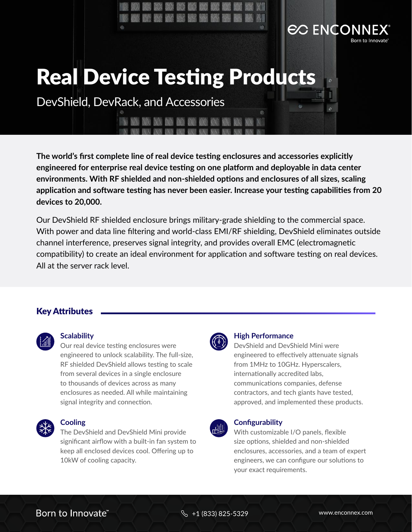# Real Device Testing Products

DevShield, DevRack, and Accessories

**The world's first complete line of real device testing enclosures and accessories explicitly engineered for enterprise real device testing on one platform and deployable in data center environments. With RF shielded and non-shielded options and enclosures of all sizes, scaling application and software testing has never been easier. Increase your testing capabilities from 20 devices to 20,000.** 

Our DevShield RF shielded enclosure brings military-grade shielding to the commercial space. With power and data line filtering and world-class EMI/RF shielding, DevShield eliminates outside channel interference, preserves signal integrity, and provides overall EMC (electromagnetic compatibility) to create an ideal environment for application and software testing on real devices. All at the server rack level.

#### Key Attributes



#### **Scalability**

Our real device testing enclosures were engineered to unlock scalability. The full-size, RF shielded DevShield allows testing to scale from several devices in a single enclosure to thousands of devices across as many enclosures as needed. All while maintaining signal integrity and connection.



#### **Cooling**

The DevShield and DevShield Mini provide significant airflow with a built-in fan system to keep all enclosed devices cool. Offering up to 10kW of cooling capacity.



#### **High Performance**

DevShield and DevShield Mini were engineered to effectively attenuate signals from 1MHz to 10GHz. Hyperscalers, internationally accredited labs, communications companies, defense contractors, and tech giants have tested, approved, and implemented these products.

**EC ENCON** 



#### **Configurability**

With customizable I/O panels, flexible size options, shielded and non-shielded enclosures, accessories, and a team of expert engineers, we can configure our solutions to your exact requirements.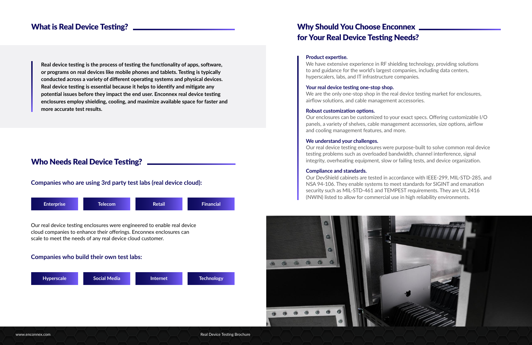#### **Product expertise.**

We have extensive experience in RF shielding technology, providing solutions to and guidance for the world's largest companies, including data centers, hyperscalers, labs, and IT infrastructure companies.

We are the only one-stop shop in the real device testing market for enclosures, airflow solutions, and cable management accessories.

#### **Your real device testing one-stop shop.**

#### **Robust customization options.**

Our enclosures can be customized to your exact specs. Offering customizable I/O panels, a variety of shelves, cable management accessories, size options, airflow and cooling management features, and more.

#### **We understand your challenges.**

# Why Should You Choose Enconnex \_\_\_\_\_\_\_\_\_\_\_ for Your Real Device Testing Needs?

Our real device testing enclosures were purpose-built to solve common real device testing problems such as overloaded bandwidth, channel interference, signal integrity, overheating equipment, slow or failing tests, and device organization.

#### **Compliance and standards.**

Our DevShield cabinets are tested in accordance with IEEE-299, MIL-STD-285, and NSA 94-106. They enable systems to meet standards for SIGINT and emanation security such as MIL-STD-461 and TEMPEST requirements. They are UL 2416 (NWIN) listed to allow for commercial use in high reliability environments.



# What is Real Device Testing?

**Real device testing is the process of testing the functionality of apps, software, or programs on real devices like mobile phones and tablets. Testing is typically conducted across a variety of different operating systems and physical devices. Real device testing is essential because it helps to identify and mitigate any potential issues before they impact the end user. Enconnex real device testing enclosures employ shielding, cooling, and maximize available space for faster and more accurate test results.** 

# Who Needs Real Device Testing? \_\_\_\_\_\_\_\_\_\_

## **Companies who are using 3rd party test labs (real device cloud):**

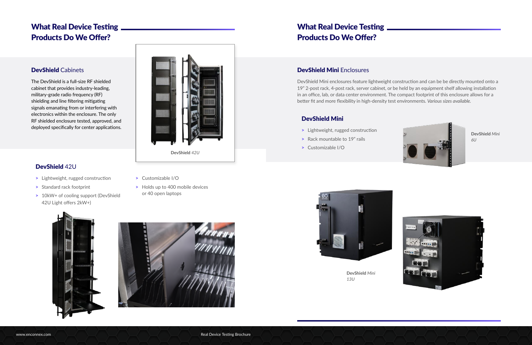# DevShield Mini Enclosures

DevShield Mini enclosures feature lightweight construction and can be be directly mounted onto a 19" 2-post rack, 4-post rack, server cabinet, or be held by an equipment shelf allowing installation in an office, lab, or data center environment. The compact footprint of this enclosure allows for a better fit and more flexibility in high-density test environments. *Various sizes available.*

- > Lightweight, rugged construction
- > Rack mountable to 19" rails
- > Customizable I/O



# What Real Device Testing Products Do We Offer?

# DevShield Mini



**DevShield** *Mini 6U*



**DevShield** *Mini 13U*





- > Lightweight, rugged construction
- > Standard rack footprint
- > 10kW+ of cooling support (DevShield 42U Light offers 2kW+)
- > Customizable I/O
- > Holds up to 400 mobile devices or 40 open laptops

## DevShield Cabinets

The DevShield is a full-size RF shielded cabinet that provides industry-leading, military-grade radio frequency (RF) shielding and line filtering mitigating signals emanating from or interfering with electronics within the enclosure. The only RF shielded enclosure tested, approved, and deployed specifically for center applications.

# What Real Device Testing Products Do We Offer?

# DevShield 42U